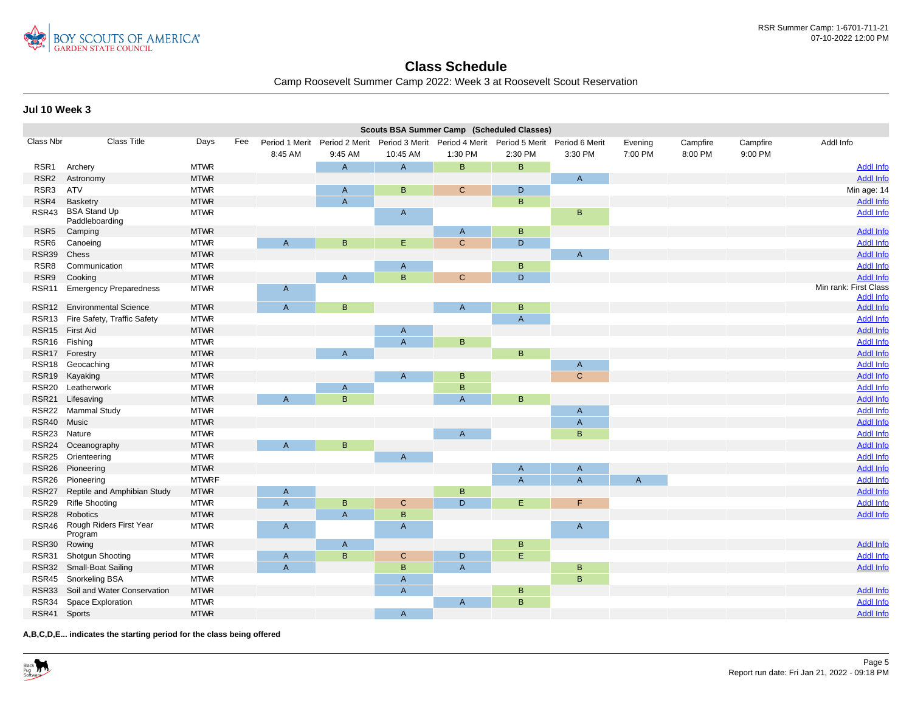

## **Class Schedule**

Camp Roosevelt Summer Camp 2022: Week 3 at Roosevelt Scout Reservation

**Jul 10 Week 3**

|                   | Scouts BSA Summer Camp (Scheduled Classes) |              |                |                                                                                           |                                |                |                |                     |              |          |          |                                      |
|-------------------|--------------------------------------------|--------------|----------------|-------------------------------------------------------------------------------------------|--------------------------------|----------------|----------------|---------------------|--------------|----------|----------|--------------------------------------|
| <b>Class Nbr</b>  | <b>Class Title</b>                         | Days         | Fee            | Period 1 Merit Period 2 Merit Period 3 Merit Period 4 Merit Period 5 Merit Period 6 Merit |                                |                |                |                     | Evening      | Campfire | Campfire | Addl Info                            |
|                   |                                            |              | 8:45 AM        | 9:45 AM                                                                                   | 10:45 AM                       | 1:30 PM        | 2:30 PM        | 3:30 PM             | 7:00 PM      | 8:00 PM  | 9:00 PM  |                                      |
| RSR <sub>1</sub>  | Archery                                    | <b>MTWR</b>  |                | A                                                                                         | $\overline{A}$                 | B              | B              |                     |              |          |          | <b>Addl Info</b>                     |
| RSR <sub>2</sub>  | Astronomy                                  | <b>MTWR</b>  |                |                                                                                           |                                |                |                | $\mathsf{A}$        |              |          |          | <b>Addl Info</b>                     |
| RSR3              | <b>ATV</b>                                 | <b>MTWR</b>  |                | $\overline{A}$                                                                            | B                              | $\mathsf{C}$   | D              |                     |              |          |          | Min age: 14                          |
| RSR4              | <b>Basketry</b>                            | <b>MTWR</b>  |                | $\overline{A}$                                                                            |                                |                | B              |                     |              |          |          | <b>Addl Info</b>                     |
| RSR43             | <b>BSA Stand Up</b><br>Paddleboarding      | <b>MTWR</b>  |                |                                                                                           | $\mathsf{A}$                   |                |                | B.                  |              |          |          | <b>Addl Info</b>                     |
| RSR <sub>5</sub>  | Camping                                    | <b>MTWR</b>  |                |                                                                                           |                                | $\mathsf{A}$   | B              |                     |              |          |          | <b>Addl Info</b>                     |
| RSR <sub>6</sub>  | Canoeing                                   | <b>MTWR</b>  | $\overline{A}$ | B                                                                                         | E                              | $\mathsf{C}$   | D              |                     |              |          |          | <b>Addl Info</b>                     |
| RSR39             | Chess                                      | <b>MTWR</b>  |                |                                                                                           |                                |                |                | $\mathsf{A}$        |              |          |          | <b>Addl Info</b>                     |
| RSR8              | Communication                              | <b>MTWR</b>  |                |                                                                                           | $\mathsf{A}$                   |                | B              |                     |              |          |          | <b>Addl Info</b>                     |
| RSR9              | Cooking                                    | <b>MTWR</b>  |                | $\overline{A}$                                                                            | $\overline{B}$                 | $\mathsf{C}$   | D              |                     |              |          |          | <b>Addl Info</b>                     |
| RSR <sub>11</sub> | <b>Emergency Preparedness</b>              | <b>MTWR</b>  | $\mathsf{A}$   |                                                                                           |                                |                |                |                     |              |          |          | Min rank: First Class                |
| RSR <sub>12</sub> | <b>Environmental Science</b>               | <b>MTWR</b>  | $\overline{A}$ | $\mathsf B$                                                                               |                                | A              | B              |                     |              |          |          | <b>Addl Info</b><br><b>Addl Info</b> |
| RSR <sub>13</sub> | Fire Safety, Traffic Safety                | <b>MTWR</b>  |                |                                                                                           |                                |                | $\overline{A}$ |                     |              |          |          | <b>Addl Info</b>                     |
|                   | RSR15 First Aid                            | <b>MTWR</b>  |                |                                                                                           |                                |                |                |                     |              |          |          | <b>Addl Info</b>                     |
| RSR <sub>16</sub> | Fishing                                    | <b>MTWR</b>  |                |                                                                                           | $\mathsf{A}$<br>$\overline{A}$ | B              |                |                     |              |          |          | <b>Addl Info</b>                     |
|                   | RSR17 Forestry                             | <b>MTWR</b>  |                | $\overline{A}$                                                                            |                                |                | B              |                     |              |          |          | <b>Addl Info</b>                     |
| RSR <sub>18</sub> |                                            | <b>MTWR</b>  |                |                                                                                           |                                |                |                |                     |              |          |          | <b>Addl Info</b>                     |
|                   | Geocaching<br>RSR19 Kayaking               | <b>MTWR</b>  |                |                                                                                           | $\overline{A}$                 |                |                | A<br>$\mathbf{C}$   |              |          |          | <b>Addl Info</b>                     |
| <b>RSR20</b>      |                                            | <b>MTWR</b>  |                |                                                                                           |                                | B<br>B         |                |                     |              |          |          | <b>Addl Info</b>                     |
|                   | Leatherwork                                | <b>MTWR</b>  |                | A<br>B                                                                                    |                                | $\overline{A}$ | $\overline{B}$ |                     |              |          |          |                                      |
| <b>RSR21</b>      | Lifesaving                                 | <b>MTWR</b>  | $\overline{A}$ |                                                                                           |                                |                |                |                     |              |          |          | <b>Addl Info</b><br><b>Addl Info</b> |
| RSR22             | <b>Mammal Study</b>                        |              |                |                                                                                           |                                |                |                | A<br>$\overline{A}$ |              |          |          |                                      |
| RSR40             | Music                                      | <b>MTWR</b>  |                |                                                                                           |                                |                |                |                     |              |          |          | <b>Addl Info</b>                     |
| RSR <sub>23</sub> | Nature                                     | <b>MTWR</b>  |                |                                                                                           |                                | $\overline{A}$ |                | B                   |              |          |          | <b>Addl Info</b>                     |
| RSR24             | Oceanography                               | <b>MTWR</b>  | $\overline{A}$ | B                                                                                         |                                |                |                |                     |              |          |          | <b>Addl Info</b>                     |
| RSR <sub>25</sub> | Orienteering                               | <b>MTWR</b>  |                |                                                                                           | $\overline{A}$                 |                |                |                     |              |          |          | <b>Addl Info</b>                     |
| RSR <sub>26</sub> | Pioneering                                 | <b>MTWR</b>  |                |                                                                                           |                                |                | A              | A                   |              |          |          | <b>Addl Info</b>                     |
| RSR <sub>26</sub> | Pioneering                                 | <b>MTWRF</b> |                |                                                                                           |                                |                | $\overline{A}$ | $\overline{A}$      | $\mathsf{A}$ |          |          | <b>Addl Info</b>                     |
| RSR <sub>27</sub> | Reptile and Amphibian Study                | <b>MTWR</b>  | $\mathsf{A}$   |                                                                                           |                                | B              |                |                     |              |          |          | <b>Addl Info</b>                     |
| RSR29             | <b>Rifle Shooting</b>                      | <b>MTWR</b>  | $\overline{A}$ | $\sf B$                                                                                   | $\mathbf C$                    | D              | E              | F.                  |              |          |          | <b>Addl Info</b>                     |
| RSR <sub>28</sub> | Robotics                                   | <b>MTWR</b>  |                | $\overline{A}$                                                                            | $\mathsf B$                    |                |                |                     |              |          |          | <b>Addl Info</b>                     |
| RSR46             | Rough Riders First Year<br>Program         | <b>MTWR</b>  | $\mathsf{A}$   |                                                                                           | $\overline{A}$                 |                |                | A                   |              |          |          |                                      |
| RSR30             | Rowing                                     | <b>MTWR</b>  |                | A                                                                                         |                                |                | B              |                     |              |          |          | <b>Addl Info</b>                     |
| RSR31             | Shotgun Shooting                           | <b>MTWR</b>  | $\mathsf{A}$   | B                                                                                         | $\mathsf{C}$                   | D              | Ε              |                     |              |          |          | <b>Addl Info</b>                     |
| RSR32             | Small-Boat Sailing                         | <b>MTWR</b>  | $\overline{A}$ |                                                                                           | $\mathsf B$                    | $\overline{A}$ |                | B                   |              |          |          | <b>Addl Info</b>                     |
| RSR45             | Snorkeling BSA                             | <b>MTWR</b>  |                |                                                                                           | A                              |                |                | B                   |              |          |          |                                      |
| RSR33             | Soil and Water Conservation                | <b>MTWR</b>  |                |                                                                                           | $\overline{A}$                 |                | B              |                     |              |          |          | <b>Addl Info</b>                     |
| RSR34             | Space Exploration                          | <b>MTWR</b>  |                |                                                                                           |                                | $\overline{A}$ | $\mathsf B$    |                     |              |          |          | <b>Addl Info</b>                     |
| RSR41 Sports      |                                            | <b>MTWR</b>  |                |                                                                                           | $\overline{A}$                 |                |                |                     |              |          |          | <b>Addl Info</b>                     |

**A,B,C,D,E... indicates the starting period for the class being offered**